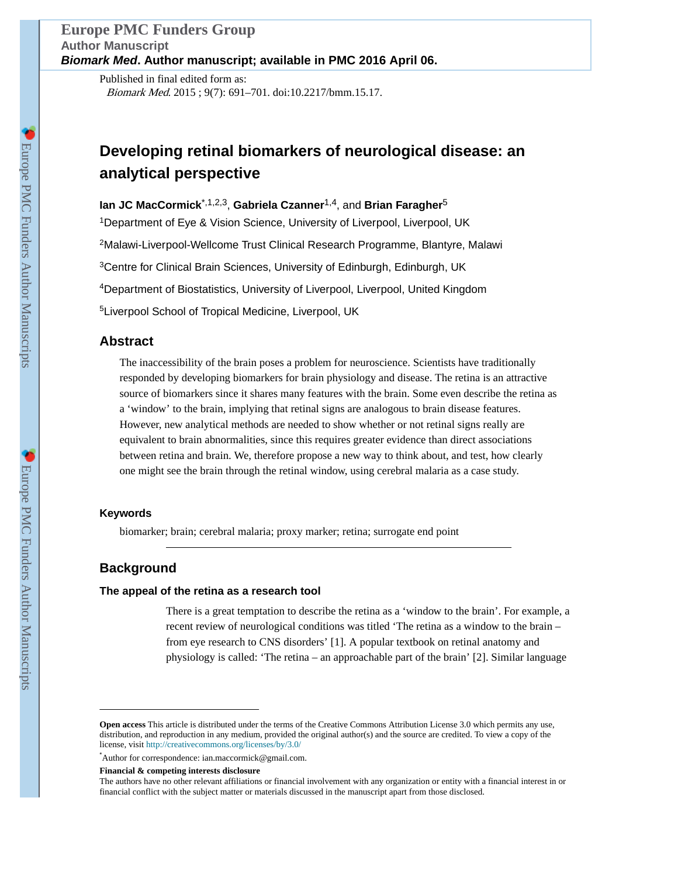Published in final edited form as: Biomark Med. 2015 ; 9(7): 691–701. doi:10.2217/bmm.15.17.

# **Developing retinal biomarkers of neurological disease: an analytical perspective**

**Ian JC MacCormick**\*,1,2,3, **Gabriela Czanner**1,4, and **Brian Faragher**<sup>5</sup>

Department of Eye & Vision Science, University of Liverpool, Liverpool, UK Malawi-Liverpool-Wellcome Trust Clinical Research Programme, Blantyre, Malawi <sup>3</sup>Centre for Clinical Brain Sciences, University of Edinburgh, Edinburgh, UK Department of Biostatistics, University of Liverpool, Liverpool, United Kingdom Liverpool School of Tropical Medicine, Liverpool, UK

# **Abstract**

The inaccessibility of the brain poses a problem for neuroscience. Scientists have traditionally responded by developing biomarkers for brain physiology and disease. The retina is an attractive source of biomarkers since it shares many features with the brain. Some even describe the retina as a 'window' to the brain, implying that retinal signs are analogous to brain disease features. However, new analytical methods are needed to show whether or not retinal signs really are equivalent to brain abnormalities, since this requires greater evidence than direct associations between retina and brain. We, therefore propose a new way to think about, and test, how clearly one might see the brain through the retinal window, using cerebral malaria as a case study.

## **Keywords**

biomarker; brain; cerebral malaria; proxy marker; retina; surrogate end point

# **Background**

#### **The appeal of the retina as a research tool**

There is a great temptation to describe the retina as a 'window to the brain'. For example, a recent review of neurological conditions was titled 'The retina as a window to the brain – from eye research to CNS disorders' [1]. A popular textbook on retinal anatomy and physiology is called: 'The retina – an approachable part of the brain' [2]. Similar language

#### **Financial & competing interests disclosure**

**Open access** This article is distributed under the terms of the Creative Commons Attribution License 3.0 which permits any use, distribution, and reproduction in any medium, provided the original author(s) and the source are credited. To view a copy of the license, visit <http://creativecommons.org/licenses/by/3.0/>

<sup>\*</sup>Author for correspondence: ian.maccormick@gmail.com.

The authors have no other relevant affiliations or financial involvement with any organization or entity with a financial interest in or financial conflict with the subject matter or materials discussed in the manuscript apart from those disclosed.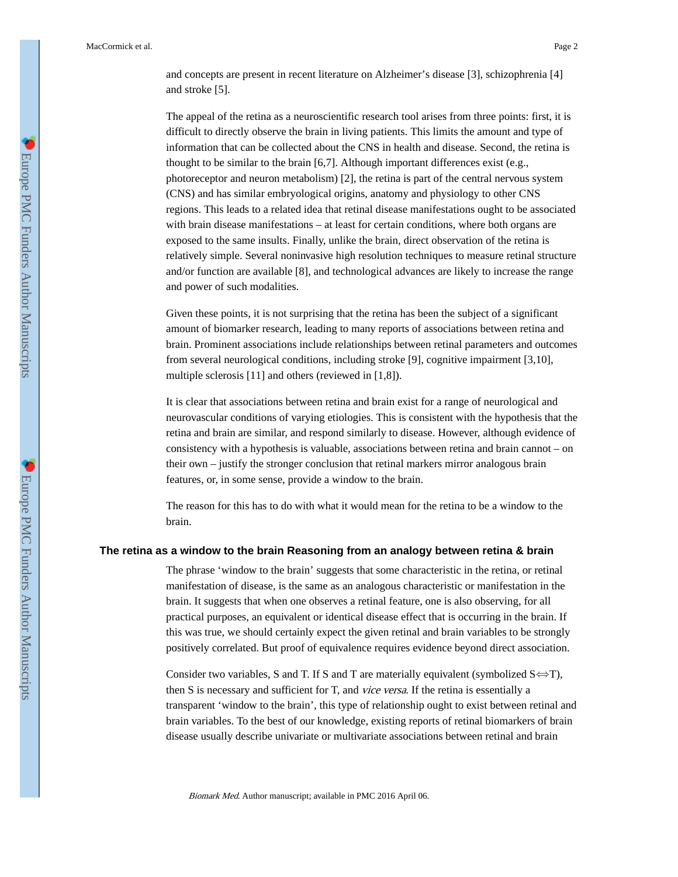and concepts are present in recent literature on Alzheimer's disease [3], schizophrenia [4] and stroke [5].

The appeal of the retina as a neuroscientific research tool arises from three points: first, it is difficult to directly observe the brain in living patients. This limits the amount and type of information that can be collected about the CNS in health and disease. Second, the retina is thought to be similar to the brain [6,7]. Although important differences exist (e.g., photoreceptor and neuron metabolism) [2], the retina is part of the central nervous system (CNS) and has similar embryological origins, anatomy and physiology to other CNS regions. This leads to a related idea that retinal disease manifestations ought to be associated with brain disease manifestations – at least for certain conditions, where both organs are exposed to the same insults. Finally, unlike the brain, direct observation of the retina is relatively simple. Several noninvasive high resolution techniques to measure retinal structure and/or function are available [8], and technological advances are likely to increase the range and power of such modalities.

Given these points, it is not surprising that the retina has been the subject of a significant amount of biomarker research, leading to many reports of associations between retina and brain. Prominent associations include relationships between retinal parameters and outcomes from several neurological conditions, including stroke [9], cognitive impairment [3,10], multiple sclerosis [11] and others (reviewed in [1,8]).

It is clear that associations between retina and brain exist for a range of neurological and neurovascular conditions of varying etiologies. This is consistent with the hypothesis that the retina and brain are similar, and respond similarly to disease. However, although evidence of consistency with a hypothesis is valuable, associations between retina and brain cannot – on their own – justify the stronger conclusion that retinal markers mirror analogous brain features, or, in some sense, provide a window to the brain.

The reason for this has to do with what it would mean for the retina to be a window to the brain.

#### **The retina as a window to the brain Reasoning from an analogy between retina & brain**

The phrase 'window to the brain' suggests that some characteristic in the retina, or retinal manifestation of disease, is the same as an analogous characteristic or manifestation in the brain. It suggests that when one observes a retinal feature, one is also observing, for all practical purposes, an equivalent or identical disease effect that is occurring in the brain. If this was true, we should certainly expect the given retinal and brain variables to be strongly positively correlated. But proof of equivalence requires evidence beyond direct association.

Consider two variables, S and T. If S and T are materially equivalent (symbolized  $S \Leftrightarrow T$ ), then S is necessary and sufficient for T, and vice versa. If the retina is essentially a transparent 'window to the brain', this type of relationship ought to exist between retinal and brain variables. To the best of our knowledge, existing reports of retinal biomarkers of brain disease usually describe univariate or multivariate associations between retinal and brain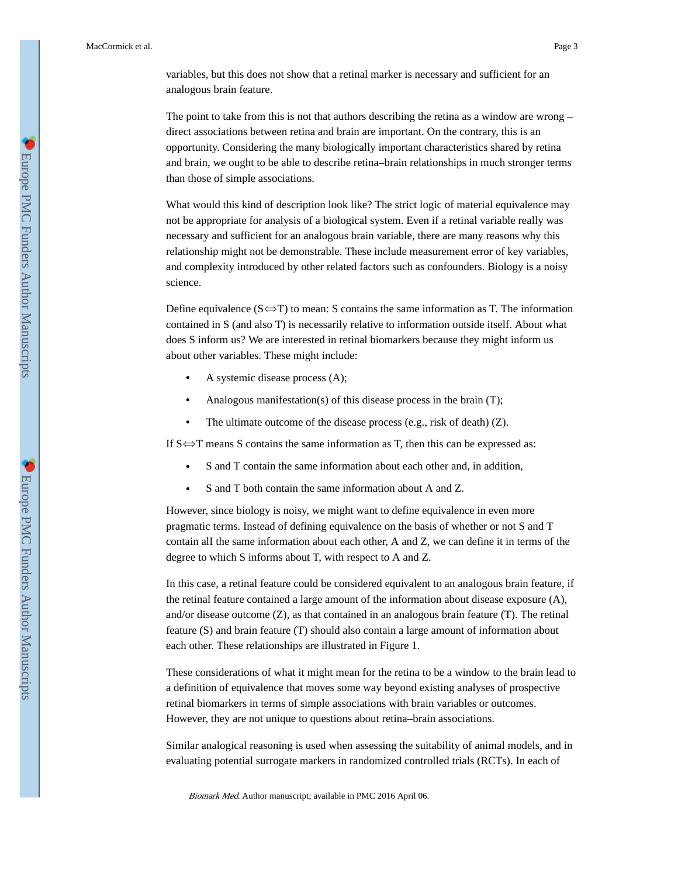variables, but this does not show that a retinal marker is necessary and sufficient for an analogous brain feature.

The point to take from this is not that authors describing the retina as a window are wrong – direct associations between retina and brain are important. On the contrary, this is an opportunity. Considering the many biologically important characteristics shared by retina and brain, we ought to be able to describe retina–brain relationships in much stronger terms than those of simple associations.

What would this kind of description look like? The strict logic of material equivalence may not be appropriate for analysis of a biological system. Even if a retinal variable really was necessary and sufficient for an analogous brain variable, there are many reasons why this relationship might not be demonstrable. These include measurement error of key variables, and complexity introduced by other related factors such as confounders. Biology is a noisy science.

Define equivalence  $(S \Leftrightarrow T)$  to mean: S contains the same information as T. The information contained in S (and also T) is necessarily relative to information outside itself. About what does S inform us? We are interested in retinal biomarkers because they might inform us about other variables. These might include:

- **•** A systemic disease process (A);
- **•** Analogous manifestation(s) of this disease process in the brain (T);
- The ultimate outcome of the disease process (e.g., risk of death) (Z).

If  $S \Leftrightarrow T$  means S contains the same information as T, then this can be expressed as:

- **•** S and T contain the same information about each other and, in addition,
- **•** S and T both contain the same information about A and Z.

However, since biology is noisy, we might want to define equivalence in even more pragmatic terms. Instead of defining equivalence on the basis of whether or not S and T contain alI the same information about each other, A and Z, we can define it in terms of the degree to which S informs about T, with respect to A and Z.

In this case, a retinal feature could be considered equivalent to an analogous brain feature, if the retinal feature contained a large amount of the information about disease exposure (A), and/or disease outcome (Z), as that contained in an analogous brain feature (T). The retinal feature (S) and brain feature (T) should also contain a large amount of information about each other. These relationships are illustrated in Figure 1.

These considerations of what it might mean for the retina to be a window to the brain lead to a definition of equivalence that moves some way beyond existing analyses of prospective retinal biomarkers in terms of simple associations with brain variables or outcomes. However, they are not unique to questions about retina–brain associations.

Similar analogical reasoning is used when assessing the suitability of animal models, and in evaluating potential surrogate markers in randomized controlled trials (RCTs). In each of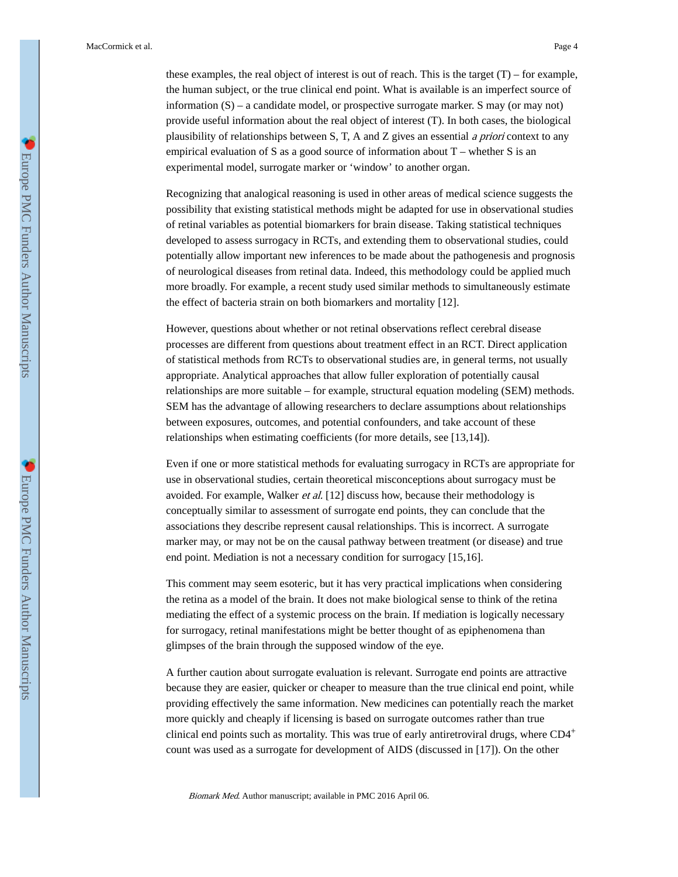these examples, the real object of interest is out of reach. This is the target  $(T)$  – for example, the human subject, or the true clinical end point. What is available is an imperfect source of information  $(S)$  – a candidate model, or prospective surrogate marker. S may (or may not) provide useful information about the real object of interest (T). In both cases, the biological plausibility of relationships between S, T, A and Z gives an essential *a priori* context to any empirical evaluation of S as a good source of information about  $T$  – whether S is an experimental model, surrogate marker or 'window' to another organ.

Recognizing that analogical reasoning is used in other areas of medical science suggests the possibility that existing statistical methods might be adapted for use in observational studies of retinal variables as potential biomarkers for brain disease. Taking statistical techniques developed to assess surrogacy in RCTs, and extending them to observational studies, could potentially allow important new inferences to be made about the pathogenesis and prognosis of neurological diseases from retinal data. Indeed, this methodology could be applied much more broadly. For example, a recent study used similar methods to simultaneously estimate the effect of bacteria strain on both biomarkers and mortality [12].

However, questions about whether or not retinal observations reflect cerebral disease processes are different from questions about treatment effect in an RCT. Direct application of statistical methods from RCTs to observational studies are, in general terms, not usually appropriate. Analytical approaches that allow fuller exploration of potentially causal relationships are more suitable – for example, structural equation modeling (SEM) methods. SEM has the advantage of allowing researchers to declare assumptions about relationships between exposures, outcomes, and potential confounders, and take account of these relationships when estimating coefficients (for more details, see [13,14]).

Even if one or more statistical methods for evaluating surrogacy in RCTs are appropriate for use in observational studies, certain theoretical misconceptions about surrogacy must be avoided. For example, Walker et al. [12] discuss how, because their methodology is conceptually similar to assessment of surrogate end points, they can conclude that the associations they describe represent causal relationships. This is incorrect. A surrogate marker may, or may not be on the causal pathway between treatment (or disease) and true end point. Mediation is not a necessary condition for surrogacy [15,16].

This comment may seem esoteric, but it has very practical implications when considering the retina as a model of the brain. It does not make biological sense to think of the retina mediating the effect of a systemic process on the brain. If mediation is logically necessary for surrogacy, retinal manifestations might be better thought of as epiphenomena than glimpses of the brain through the supposed window of the eye.

A further caution about surrogate evaluation is relevant. Surrogate end points are attractive because they are easier, quicker or cheaper to measure than the true clinical end point, while providing effectively the same information. New medicines can potentially reach the market more quickly and cheaply if licensing is based on surrogate outcomes rather than true clinical end points such as mortality. This was true of early antiretroviral drugs, where CD4<sup>+</sup> count was used as a surrogate for development of AIDS (discussed in [17]). On the other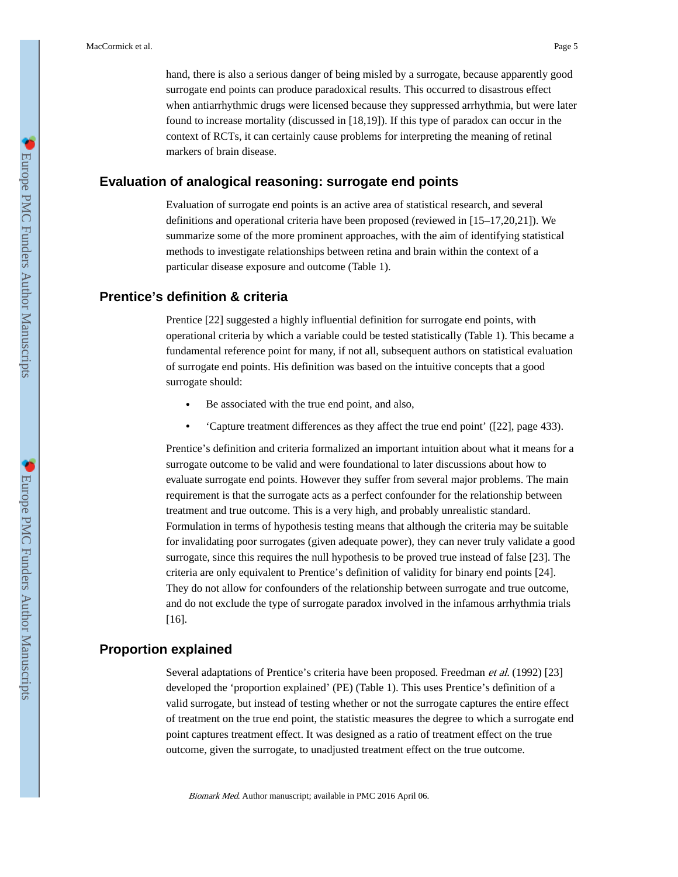hand, there is also a serious danger of being misled by a surrogate, because apparently good surrogate end points can produce paradoxical results. This occurred to disastrous effect when antiarrhythmic drugs were licensed because they suppressed arrhythmia, but were later found to increase mortality (discussed in [18,19]). If this type of paradox can occur in the context of RCTs, it can certainly cause problems for interpreting the meaning of retinal markers of brain disease.

# **Evaluation of analogical reasoning: surrogate end points**

Evaluation of surrogate end points is an active area of statistical research, and several definitions and operational criteria have been proposed (reviewed in [15–17,20,21]). We summarize some of the more prominent approaches, with the aim of identifying statistical methods to investigate relationships between retina and brain within the context of a particular disease exposure and outcome (Table 1).

# **Prentice's definition & criteria**

Prentice [22] suggested a highly influential definition for surrogate end points, with operational criteria by which a variable could be tested statistically (Table 1). This became a fundamental reference point for many, if not all, subsequent authors on statistical evaluation of surrogate end points. His definition was based on the intuitive concepts that a good surrogate should:

- **•** Be associated with the true end point, and also,
- **•** 'Capture treatment differences as they affect the true end point' ([22], page 433).

Prentice's definition and criteria formalized an important intuition about what it means for a surrogate outcome to be valid and were foundational to later discussions about how to evaluate surrogate end points. However they suffer from several major problems. The main requirement is that the surrogate acts as a perfect confounder for the relationship between treatment and true outcome. This is a very high, and probably unrealistic standard. Formulation in terms of hypothesis testing means that although the criteria may be suitable for invalidating poor surrogates (given adequate power), they can never truly validate a good surrogate, since this requires the null hypothesis to be proved true instead of false [23]. The criteria are only equivalent to Prentice's definition of validity for binary end points [24]. They do not allow for confounders of the relationship between surrogate and true outcome, and do not exclude the type of surrogate paradox involved in the infamous arrhythmia trials [16].

## **Proportion explained**

Several adaptations of Prentice's criteria have been proposed. Freedman *et al.* (1992) [23] developed the 'proportion explained' (PE) (Table 1). This uses Prentice's definition of a valid surrogate, but instead of testing whether or not the surrogate captures the entire effect of treatment on the true end point, the statistic measures the degree to which a surrogate end point captures treatment effect. It was designed as a ratio of treatment effect on the true outcome, given the surrogate, to unadjusted treatment effect on the true outcome.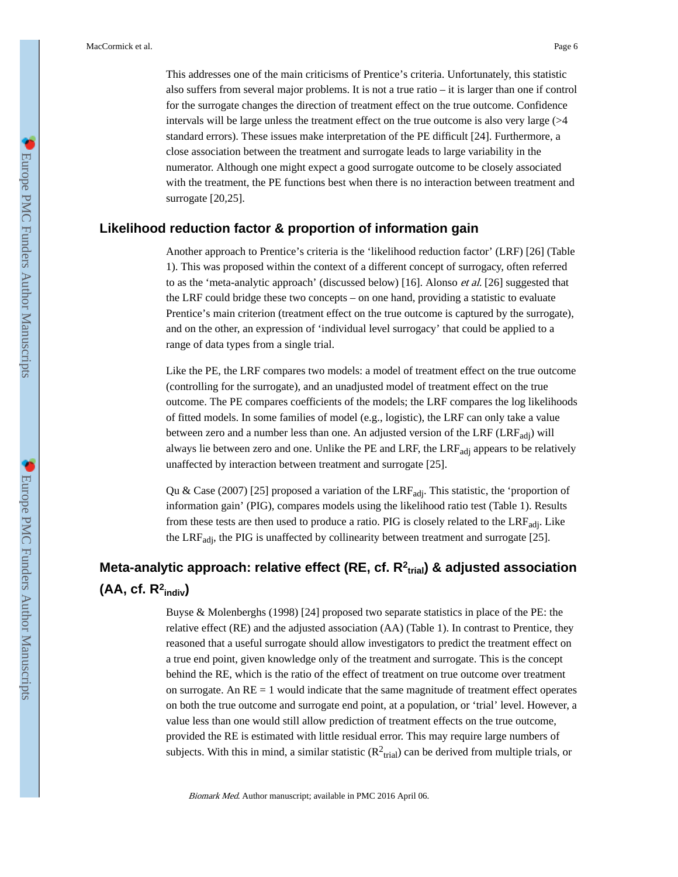This addresses one of the main criticisms of Prentice's criteria. Unfortunately, this statistic also suffers from several major problems. It is not a true ratio – it is larger than one if control for the surrogate changes the direction of treatment effect on the true outcome. Confidence intervals will be large unless the treatment effect on the true outcome is also very large (>4 standard errors). These issues make interpretation of the PE difficult [24]. Furthermore, a close association between the treatment and surrogate leads to large variability in the numerator. Although one might expect a good surrogate outcome to be closely associated with the treatment, the PE functions best when there is no interaction between treatment and surrogate [20,25].

## **Likelihood reduction factor & proportion of information gain**

Another approach to Prentice's criteria is the 'likelihood reduction factor' (LRF) [26] (Table 1). This was proposed within the context of a different concept of surrogacy, often referred to as the 'meta-analytic approach' (discussed below) [16]. Alonso *et al.* [26] suggested that the LRF could bridge these two concepts – on one hand, providing a statistic to evaluate Prentice's main criterion (treatment effect on the true outcome is captured by the surrogate), and on the other, an expression of 'individual level surrogacy' that could be applied to a range of data types from a single trial.

Like the PE, the LRF compares two models: a model of treatment effect on the true outcome (controlling for the surrogate), and an unadjusted model of treatment effect on the true outcome. The PE compares coefficients of the models; the LRF compares the log likelihoods of fitted models. In some families of model (e.g., logistic), the LRF can only take a value between zero and a number less than one. An adjusted version of the LRF  $(LRF_{\text{adj}})$  will always lie between zero and one. Unlike the PE and LRF, the  $LRF_{\text{adj}}$  appears to be relatively unaffected by interaction between treatment and surrogate [25].

Qu & Case (2007) [25] proposed a variation of the LRF<sub>adj</sub>. This statistic, the 'proportion of information gain' (PIG), compares models using the likelihood ratio test (Table 1). Results from these tests are then used to produce a ratio. PIG is closely related to the  $LRF_{\text{adj}}$ . Like the LRF<sub>adi</sub>, the PIG is unaffected by collinearity between treatment and surrogate [25].

# **Meta-analytic approach: relative effect (RE, cf. R<sup>2</sup> trial) & adjusted association**

# **(AA, cf. R<sup>2</sup> indiv)**

Buyse & Molenberghs (1998) [24] proposed two separate statistics in place of the PE: the relative effect (RE) and the adjusted association (AA) (Table 1). In contrast to Prentice, they reasoned that a useful surrogate should allow investigators to predict the treatment effect on a true end point, given knowledge only of the treatment and surrogate. This is the concept behind the RE, which is the ratio of the effect of treatment on true outcome over treatment on surrogate. An  $RE = 1$  would indicate that the same magnitude of treatment effect operates on both the true outcome and surrogate end point, at a population, or 'trial' level. However, a value less than one would still allow prediction of treatment effects on the true outcome, provided the RE is estimated with little residual error. This may require large numbers of subjects. With this in mind, a similar statistic  $(R^2_{trial})$  can be derived from multiple trials, or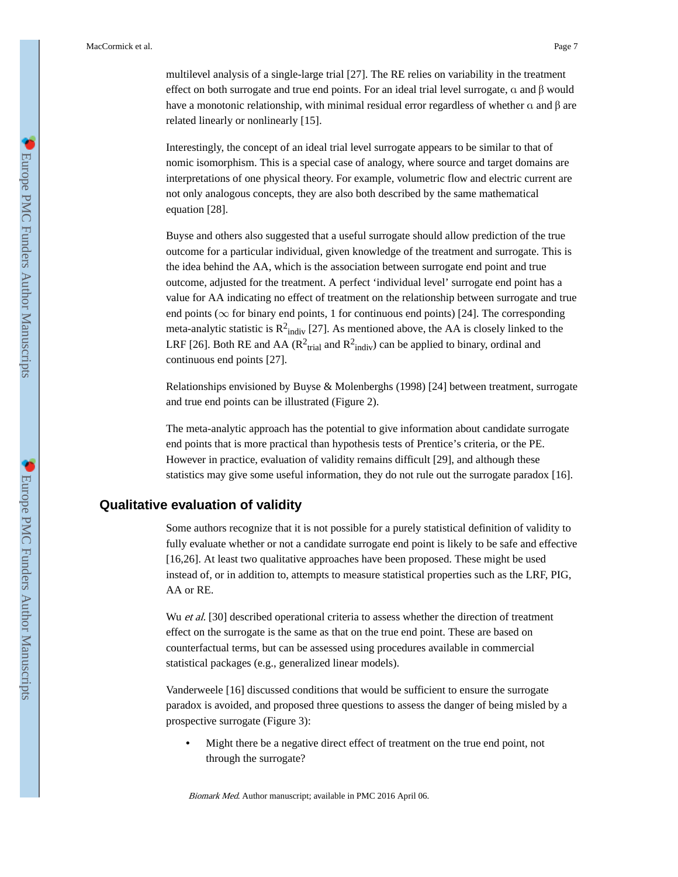multilevel analysis of a single-large trial [27]. The RE relies on variability in the treatment effect on both surrogate and true end points. For an ideal trial level surrogate,  $\alpha$  and  $\beta$  would have a monotonic relationship, with minimal residual error regardless of whether  $\alpha$  and  $\beta$  are related linearly or nonlinearly [15].

Interestingly, the concept of an ideal trial level surrogate appears to be similar to that of nomic isomorphism. This is a special case of analogy, where source and target domains are interpretations of one physical theory. For example, volumetric flow and electric current are not only analogous concepts, they are also both described by the same mathematical equation [28].

Buyse and others also suggested that a useful surrogate should allow prediction of the true outcome for a particular individual, given knowledge of the treatment and surrogate. This is the idea behind the AA, which is the association between surrogate end point and true outcome, adjusted for the treatment. A perfect 'individual level' surrogate end point has a value for AA indicating no effect of treatment on the relationship between surrogate and true end points ( $\infty$  for binary end points, 1 for continuous end points) [24]. The corresponding meta-analytic statistic is  $R^2$ <sub>indiv</sub> [27]. As mentioned above, the AA is closely linked to the LRF [26]. Both RE and AA ( $R^2_{\text{trial}}$  and  $R^2_{\text{indiv}}$ ) can be applied to binary, ordinal and continuous end points [27].

Relationships envisioned by Buyse & Molenberghs (1998) [24] between treatment, surrogate and true end points can be illustrated (Figure 2).

The meta-analytic approach has the potential to give information about candidate surrogate end points that is more practical than hypothesis tests of Prentice's criteria, or the PE. However in practice, evaluation of validity remains difficult [29], and although these statistics may give some useful information, they do not rule out the surrogate paradox [16].

# **Qualitative evaluation of validity**

Some authors recognize that it is not possible for a purely statistical definition of validity to fully evaluate whether or not a candidate surrogate end point is likely to be safe and effective [16,26]. At least two qualitative approaches have been proposed. These might be used instead of, or in addition to, attempts to measure statistical properties such as the LRF, PIG, AA or RE.

Wu *et al.* [30] described operational criteria to assess whether the direction of treatment effect on the surrogate is the same as that on the true end point. These are based on counterfactual terms, but can be assessed using procedures available in commercial statistical packages (e.g., generalized linear models).

Vanderweele [16] discussed conditions that would be sufficient to ensure the surrogate paradox is avoided, and proposed three questions to assess the danger of being misled by a prospective surrogate (Figure 3):

**•** Might there be a negative direct effect of treatment on the true end point, not through the surrogate?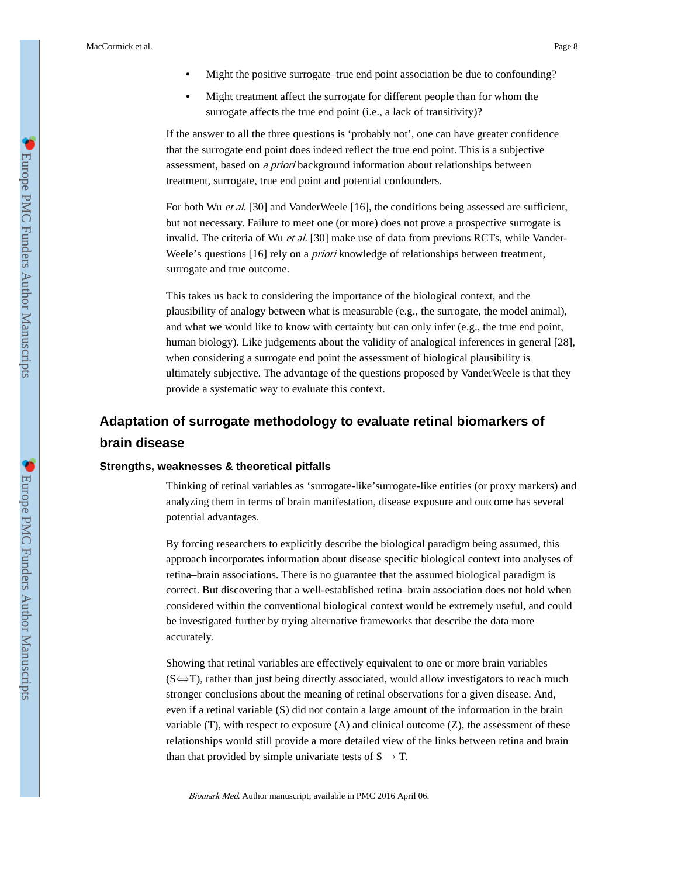- Might the positive surrogate–true end point association be due to confounding?
- **•** Might treatment affect the surrogate for different people than for whom the surrogate affects the true end point (i.e., a lack of transitivity)?

If the answer to all the three questions is 'probably not', one can have greater confidence that the surrogate end point does indeed reflect the true end point. This is a subjective assessment, based on a priori background information about relationships between treatment, surrogate, true end point and potential confounders.

For both Wu *et al.* [30] and VanderWeele [16], the conditions being assessed are sufficient, but not necessary. Failure to meet one (or more) does not prove a prospective surrogate is invalid. The criteria of Wu et al. [30] make use of data from previous RCTs, while Vander-Weele's questions [16] rely on a *priori* knowledge of relationships between treatment, surrogate and true outcome.

This takes us back to considering the importance of the biological context, and the plausibility of analogy between what is measurable (e.g., the surrogate, the model animal), and what we would like to know with certainty but can only infer (e.g., the true end point, human biology). Like judgements about the validity of analogical inferences in general [28], when considering a surrogate end point the assessment of biological plausibility is ultimately subjective. The advantage of the questions proposed by VanderWeele is that they provide a systematic way to evaluate this context.

# **Adaptation of surrogate methodology to evaluate retinal biomarkers of brain disease**

#### **Strengths, weaknesses & theoretical pitfalls**

Thinking of retinal variables as 'surrogate-like'surrogate-like entities (or proxy markers) and analyzing them in terms of brain manifestation, disease exposure and outcome has several potential advantages.

By forcing researchers to explicitly describe the biological paradigm being assumed, this approach incorporates information about disease specific biological context into analyses of retina–brain associations. There is no guarantee that the assumed biological paradigm is correct. But discovering that a well-established retina–brain association does not hold when considered within the conventional biological context would be extremely useful, and could be investigated further by trying alternative frameworks that describe the data more accurately.

Showing that retinal variables are effectively equivalent to one or more brain variables  $(S \Leftrightarrow T)$ , rather than just being directly associated, would allow investigators to reach much stronger conclusions about the meaning of retinal observations for a given disease. And, even if a retinal variable (S) did not contain a large amount of the information in the brain variable (T), with respect to exposure (A) and clinical outcome (Z), the assessment of these relationships would still provide a more detailed view of the links between retina and brain than that provided by simple univariate tests of  $S \to T$ .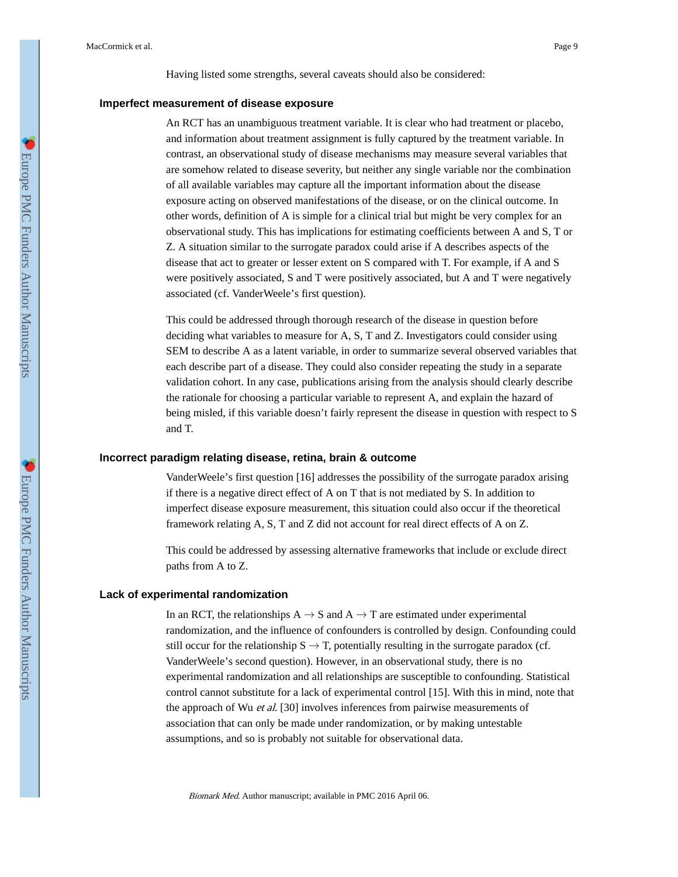#### **Imperfect measurement of disease exposure**

An RCT has an unambiguous treatment variable. It is clear who had treatment or placebo, and information about treatment assignment is fully captured by the treatment variable. In contrast, an observational study of disease mechanisms may measure several variables that are somehow related to disease severity, but neither any single variable nor the combination of all available variables may capture all the important information about the disease exposure acting on observed manifestations of the disease, or on the clinical outcome. In other words, definition of A is simple for a clinical trial but might be very complex for an observational study. This has implications for estimating coefficients between A and S, T or Z. A situation similar to the surrogate paradox could arise if A describes aspects of the disease that act to greater or lesser extent on S compared with T. For example, if A and S were positively associated, S and T were positively associated, but A and T were negatively associated (cf. VanderWeele's first question).

This could be addressed through thorough research of the disease in question before deciding what variables to measure for A, S, T and Z. Investigators could consider using SEM to describe A as a latent variable, in order to summarize several observed variables that each describe part of a disease. They could also consider repeating the study in a separate validation cohort. In any case, publications arising from the analysis should clearly describe the rationale for choosing a particular variable to represent A, and explain the hazard of being misled, if this variable doesn't fairly represent the disease in question with respect to S and T.

#### **Incorrect paradigm relating disease, retina, brain & outcome**

VanderWeele's first question [16] addresses the possibility of the surrogate paradox arising if there is a negative direct effect of A on T that is not mediated by S. In addition to imperfect disease exposure measurement, this situation could also occur if the theoretical framework relating A, S, T and Z did not account for real direct effects of A on Z.

This could be addressed by assessing alternative frameworks that include or exclude direct paths from A to Z.

#### **Lack of experimental randomization**

In an RCT, the relationships  $A \rightarrow S$  and  $A \rightarrow T$  are estimated under experimental randomization, and the influence of confounders is controlled by design. Confounding could still occur for the relationship  $S \to T$ , potentially resulting in the surrogate paradox (cf. VanderWeele's second question). However, in an observational study, there is no experimental randomization and all relationships are susceptible to confounding. Statistical control cannot substitute for a lack of experimental control [15]. With this in mind, note that the approach of Wu et al. [30] involves inferences from pairwise measurements of association that can only be made under randomization, or by making untestable assumptions, and so is probably not suitable for observational data.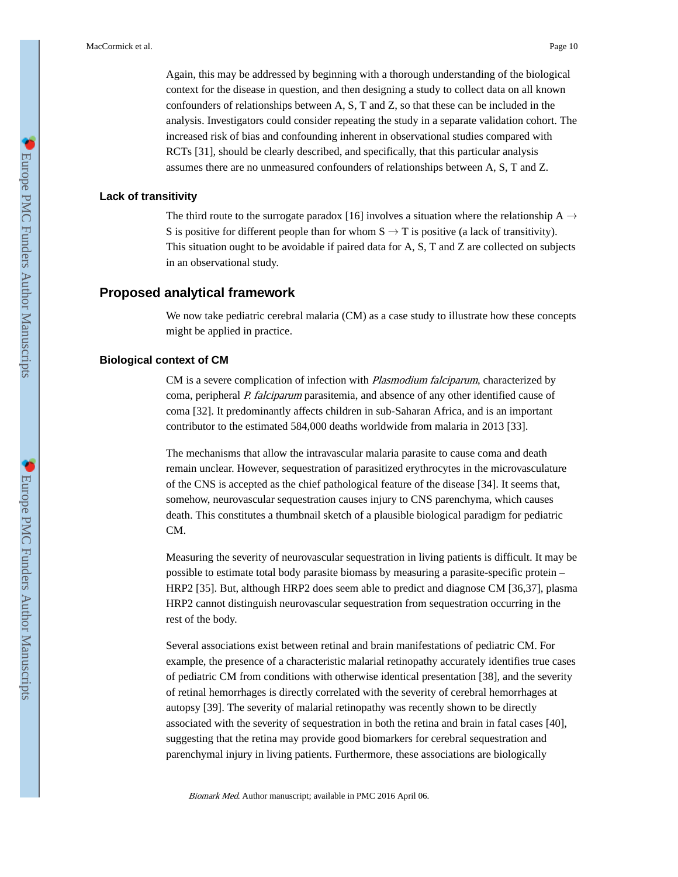Again, this may be addressed by beginning with a thorough understanding of the biological context for the disease in question, and then designing a study to collect data on all known confounders of relationships between A, S, T and Z, so that these can be included in the analysis. Investigators could consider repeating the study in a separate validation cohort. The increased risk of bias and confounding inherent in observational studies compared with RCTs [31], should be clearly described, and specifically, that this particular analysis assumes there are no unmeasured confounders of relationships between A, S, T and Z.

#### **Lack of transitivity**

The third route to the surrogate paradox [16] involves a situation where the relationship A  $\rightarrow$ S is positive for different people than for whom  $S \rightarrow T$  is positive (a lack of transitivity). This situation ought to be avoidable if paired data for A, S, T and Z are collected on subjects in an observational study.

# **Proposed analytical framework**

We now take pediatric cerebral malaria (CM) as a case study to illustrate how these concepts might be applied in practice.

#### **Biological context of CM**

CM is a severe complication of infection with Plasmodium falciparum, characterized by coma, peripheral P. falciparum parasitemia, and absence of any other identified cause of coma [32]. It predominantly affects children in sub-Saharan Africa, and is an important contributor to the estimated 584,000 deaths worldwide from malaria in 2013 [33].

The mechanisms that allow the intravascular malaria parasite to cause coma and death remain unclear. However, sequestration of parasitized erythrocytes in the microvasculature of the CNS is accepted as the chief pathological feature of the disease [34]. It seems that, somehow, neurovascular sequestration causes injury to CNS parenchyma, which causes death. This constitutes a thumbnail sketch of a plausible biological paradigm for pediatric CM.

Measuring the severity of neurovascular sequestration in living patients is difficult. It may be possible to estimate total body parasite biomass by measuring a parasite-specific protein – HRP2 [35]. But, although HRP2 does seem able to predict and diagnose CM [36,37], plasma HRP2 cannot distinguish neurovascular sequestration from sequestration occurring in the rest of the body.

Several associations exist between retinal and brain manifestations of pediatric CM. For example, the presence of a characteristic malarial retinopathy accurately identifies true cases of pediatric CM from conditions with otherwise identical presentation [38], and the severity of retinal hemorrhages is directly correlated with the severity of cerebral hemorrhages at autopsy [39]. The severity of malarial retinopathy was recently shown to be directly associated with the severity of sequestration in both the retina and brain in fatal cases [40], suggesting that the retina may provide good biomarkers for cerebral sequestration and parenchymal injury in living patients. Furthermore, these associations are biologically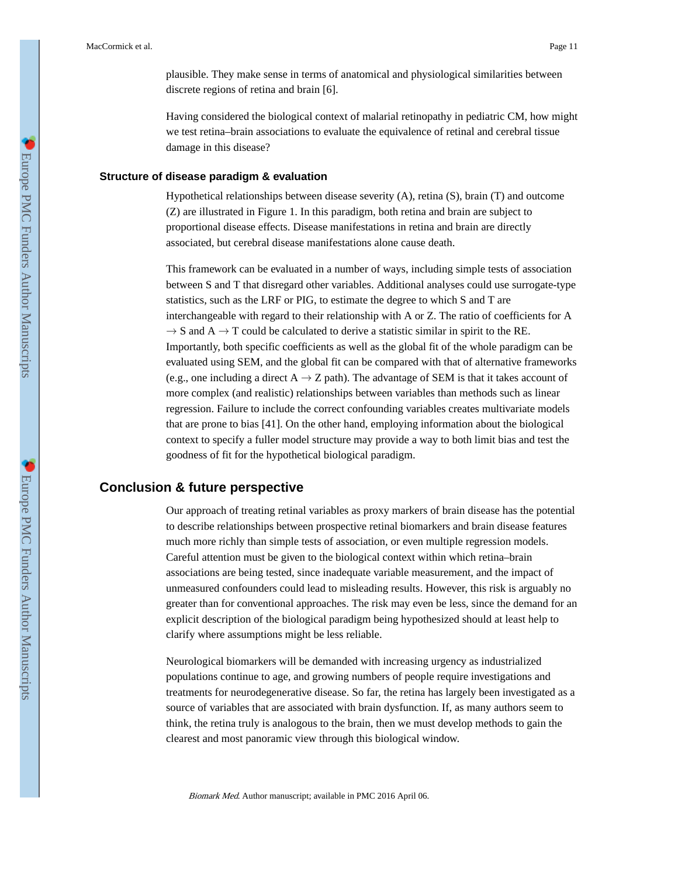plausible. They make sense in terms of anatomical and physiological similarities between discrete regions of retina and brain [6].

Having considered the biological context of malarial retinopathy in pediatric CM, how might we test retina–brain associations to evaluate the equivalence of retinal and cerebral tissue damage in this disease?

#### **Structure of disease paradigm & evaluation**

Hypothetical relationships between disease severity (A), retina (S), brain (T) and outcome (Z) are illustrated in Figure 1. In this paradigm, both retina and brain are subject to proportional disease effects. Disease manifestations in retina and brain are directly associated, but cerebral disease manifestations alone cause death.

This framework can be evaluated in a number of ways, including simple tests of association between S and T that disregard other variables. Additional analyses could use surrogate-type statistics, such as the LRF or PIG, to estimate the degree to which S and T are interchangeable with regard to their relationship with A or Z. The ratio of coefficients for A  $\rightarrow$  S and A  $\rightarrow$  T could be calculated to derive a statistic similar in spirit to the RE. Importantly, both specific coefficients as well as the global fit of the whole paradigm can be evaluated using SEM, and the global fit can be compared with that of alternative frameworks (e.g., one including a direct  $A \rightarrow Z$  path). The advantage of SEM is that it takes account of more complex (and realistic) relationships between variables than methods such as linear regression. Failure to include the correct confounding variables creates multivariate models that are prone to bias [41]. On the other hand, employing information about the biological context to specify a fuller model structure may provide a way to both limit bias and test the goodness of fit for the hypothetical biological paradigm.

## **Conclusion & future perspective**

Our approach of treating retinal variables as proxy markers of brain disease has the potential to describe relationships between prospective retinal biomarkers and brain disease features much more richly than simple tests of association, or even multiple regression models. Careful attention must be given to the biological context within which retina–brain associations are being tested, since inadequate variable measurement, and the impact of unmeasured confounders could lead to misleading results. However, this risk is arguably no greater than for conventional approaches. The risk may even be less, since the demand for an explicit description of the biological paradigm being hypothesized should at least help to clarify where assumptions might be less reliable.

Neurological biomarkers will be demanded with increasing urgency as industrialized populations continue to age, and growing numbers of people require investigations and treatments for neurodegenerative disease. So far, the retina has largely been investigated as a source of variables that are associated with brain dysfunction. If, as many authors seem to think, the retina truly is analogous to the brain, then we must develop methods to gain the clearest and most panoramic view through this biological window.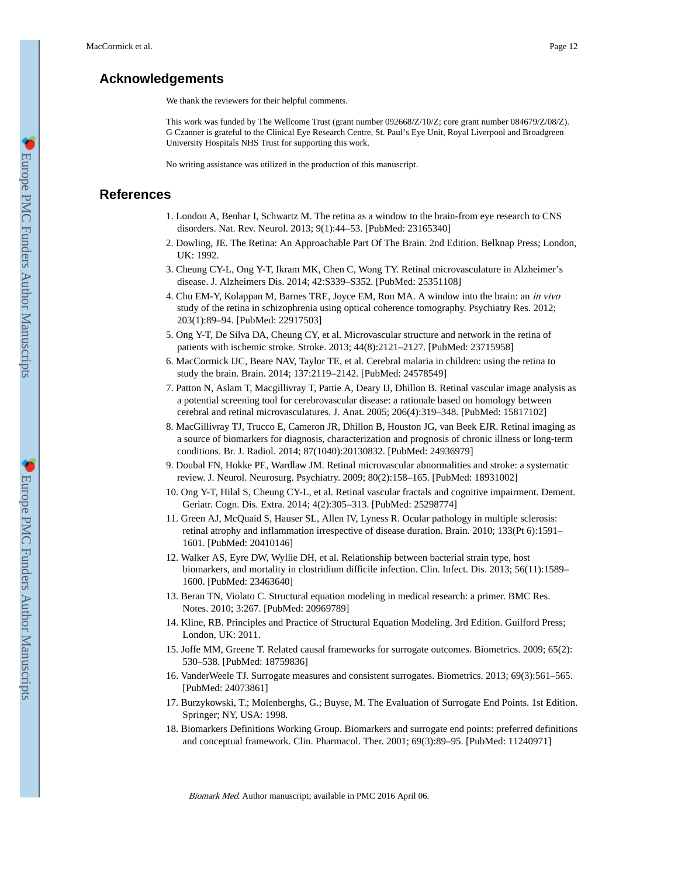# **Acknowledgements**

We thank the reviewers for their helpful comments.

This work was funded by The Wellcome Trust (grant number 092668/Z/10/Z; core grant number 084679/Z/08/Z). G Czanner is grateful to the Clinical Eye Research Centre, St. Paul's Eye Unit, Royal Liverpool and Broadgreen University Hospitals NHS Trust for supporting this work.

No writing assistance was utilized in the production of this manuscript.

# **References**

- 1. London A, Benhar I, Schwartz M. The retina as a window to the brain-from eye research to CNS disorders. Nat. Rev. Neurol. 2013; 9(1):44–53. [PubMed: 23165340]
- 2. Dowling, JE. The Retina: An Approachable Part Of The Brain. 2nd Edition. Belknap Press; London, UK: 1992.
- 3. Cheung CY-L, Ong Y-T, Ikram MK, Chen C, Wong TY. Retinal microvasculature in Alzheimer's disease. J. Alzheimers Dis. 2014; 42:S339–S352. [PubMed: 25351108]
- 4. Chu EM-Y, Kolappan M, Barnes TRE, Joyce EM, Ron MA. A window into the brain: an in vivo study of the retina in schizophrenia using optical coherence tomography. Psychiatry Res. 2012; 203(1):89–94. [PubMed: 22917503]
- 5. Ong Y-T, De Silva DA, Cheung CY, et al. Microvascular structure and network in the retina of patients with ischemic stroke. Stroke. 2013; 44(8):2121–2127. [PubMed: 23715958]
- 6. MacCormick IJC, Beare NAV, Taylor TE, et al. Cerebral malaria in children: using the retina to study the brain. Brain. 2014; 137:2119–2142. [PubMed: 24578549]
- 7. Patton N, Aslam T, Macgillivray T, Pattie A, Deary IJ, Dhillon B. Retinal vascular image analysis as a potential screening tool for cerebrovascular disease: a rationale based on homology between cerebral and retinal microvasculatures. J. Anat. 2005; 206(4):319–348. [PubMed: 15817102]
- 8. MacGillivray TJ, Trucco E, Cameron JR, Dhillon B, Houston JG, van Beek EJR. Retinal imaging as a source of biomarkers for diagnosis, characterization and prognosis of chronic illness or long-term conditions. Br. J. Radiol. 2014; 87(1040):20130832. [PubMed: 24936979]
- 9. Doubal FN, Hokke PE, Wardlaw JM. Retinal microvascular abnormalities and stroke: a systematic review. J. Neurol. Neurosurg. Psychiatry. 2009; 80(2):158–165. [PubMed: 18931002]
- 10. Ong Y-T, Hilal S, Cheung CY-L, et al. Retinal vascular fractals and cognitive impairment. Dement. Geriatr. Cogn. Dis. Extra. 2014; 4(2):305–313. [PubMed: 25298774]
- 11. Green AJ, McQuaid S, Hauser SL, Allen IV, Lyness R. Ocular pathology in multiple sclerosis: retinal atrophy and inflammation irrespective of disease duration. Brain. 2010; 133(Pt 6):1591– 1601. [PubMed: 20410146]
- 12. Walker AS, Eyre DW, Wyllie DH, et al. Relationship between bacterial strain type, host biomarkers, and mortality in clostridium difficile infection. Clin. Infect. Dis. 2013; 56(11):1589– 1600. [PubMed: 23463640]
- 13. Beran TN, Violato C. Structural equation modeling in medical research: a primer. BMC Res. Notes. 2010; 3:267. [PubMed: 20969789]
- 14. Kline, RB. Principles and Practice of Structural Equation Modeling. 3rd Edition. Guilford Press; London, UK: 2011.
- 15. Joffe MM, Greene T. Related causal frameworks for surrogate outcomes. Biometrics. 2009; 65(2): 530–538. [PubMed: 18759836]
- 16. VanderWeele TJ. Surrogate measures and consistent surrogates. Biometrics. 2013; 69(3):561–565. [PubMed: 24073861]
- 17. Burzykowski, T.; Molenberghs, G.; Buyse, M. The Evaluation of Surrogate End Points. 1st Edition. Springer; NY, USA: 1998.
- 18. Biomarkers Definitions Working Group. Biomarkers and surrogate end points: preferred definitions and conceptual framework. Clin. Pharmacol. Ther. 2001; 69(3):89–95. [PubMed: 11240971]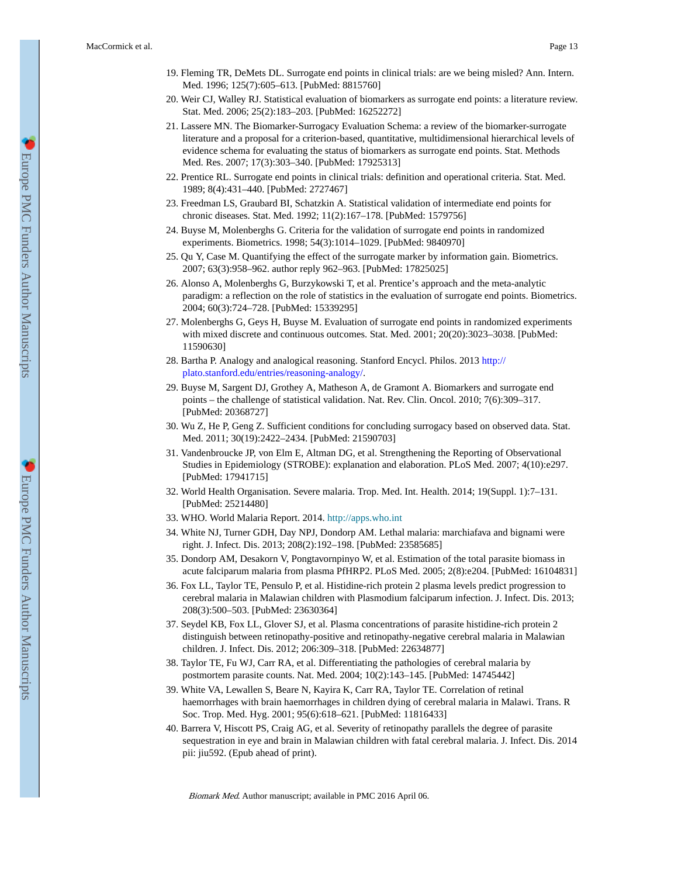- 19. Fleming TR, DeMets DL. Surrogate end points in clinical trials: are we being misled? Ann. Intern. Med. 1996; 125(7):605–613. [PubMed: 8815760]
- 20. Weir CJ, Walley RJ. Statistical evaluation of biomarkers as surrogate end points: a literature review. Stat. Med. 2006; 25(2):183–203. [PubMed: 16252272]
- 21. Lassere MN. The Biomarker-Surrogacy Evaluation Schema: a review of the biomarker-surrogate literature and a proposal for a criterion-based, quantitative, multidimensional hierarchical levels of evidence schema for evaluating the status of biomarkers as surrogate end points. Stat. Methods Med. Res. 2007; 17(3):303–340. [PubMed: 17925313]
- 22. Prentice RL. Surrogate end points in clinical trials: definition and operational criteria. Stat. Med. 1989; 8(4):431–440. [PubMed: 2727467]
- 23. Freedman LS, Graubard BI, Schatzkin A. Statistical validation of intermediate end points for chronic diseases. Stat. Med. 1992; 11(2):167–178. [PubMed: 1579756]
- 24. Buyse M, Molenberghs G. Criteria for the validation of surrogate end points in randomized experiments. Biometrics. 1998; 54(3):1014–1029. [PubMed: 9840970]
- 25. Qu Y, Case M. Quantifying the effect of the surrogate marker by information gain. Biometrics. 2007; 63(3):958–962. author reply 962–963. [PubMed: 17825025]
- 26. Alonso A, Molenberghs G, Burzykowski T, et al. Prentice's approach and the meta-analytic paradigm: a reflection on the role of statistics in the evaluation of surrogate end points. Biometrics. 2004; 60(3):724–728. [PubMed: 15339295]
- 27. Molenberghs G, Geys H, Buyse M. Evaluation of surrogate end points in randomized experiments with mixed discrete and continuous outcomes. Stat. Med. 2001; 20(20):3023–3038. [PubMed: 11590630]
- 28. Bartha P. Analogy and analogical reasoning. Stanford Encycl. Philos. 2013 [http://](http://plato.stanford.edu/entries/reasoning-analogy/) [plato.stanford.edu/entries/reasoning-analogy/.](http://plato.stanford.edu/entries/reasoning-analogy/)
- 29. Buyse M, Sargent DJ, Grothey A, Matheson A, de Gramont A. Biomarkers and surrogate end points – the challenge of statistical validation. Nat. Rev. Clin. Oncol. 2010; 7(6):309–317. [PubMed: 20368727]
- 30. Wu Z, He P, Geng Z. Sufficient conditions for concluding surrogacy based on observed data. Stat. Med. 2011; 30(19):2422–2434. [PubMed: 21590703]
- 31. Vandenbroucke JP, von Elm E, Altman DG, et al. Strengthening the Reporting of Observational Studies in Epidemiology (STROBE): explanation and elaboration. PLoS Med. 2007; 4(10):e297. [PubMed: 17941715]
- 32. World Health Organisation. Severe malaria. Trop. Med. Int. Health. 2014; 19(Suppl. 1):7–131. [PubMed: 25214480]
- 33. WHO. World Malaria Report. 2014. <http://apps.who.int>
- 34. White NJ, Turner GDH, Day NPJ, Dondorp AM. Lethal malaria: marchiafava and bignami were right. J. Infect. Dis. 2013; 208(2):192–198. [PubMed: 23585685]
- 35. Dondorp AM, Desakorn V, Pongtavornpinyo W, et al. Estimation of the total parasite biomass in acute falciparum malaria from plasma PfHRP2. PLoS Med. 2005; 2(8):e204. [PubMed: 16104831]
- 36. Fox LL, Taylor TE, Pensulo P, et al. Histidine-rich protein 2 plasma levels predict progression to cerebral malaria in Malawian children with Plasmodium falciparum infection. J. Infect. Dis. 2013; 208(3):500–503. [PubMed: 23630364]
- 37. Seydel KB, Fox LL, Glover SJ, et al. Plasma concentrations of parasite histidine-rich protein 2 distinguish between retinopathy-positive and retinopathy-negative cerebral malaria in Malawian children. J. Infect. Dis. 2012; 206:309–318. [PubMed: 22634877]
- 38. Taylor TE, Fu WJ, Carr RA, et al. Differentiating the pathologies of cerebral malaria by postmortem parasite counts. Nat. Med. 2004; 10(2):143–145. [PubMed: 14745442]
- 39. White VA, Lewallen S, Beare N, Kayira K, Carr RA, Taylor TE. Correlation of retinal haemorrhages with brain haemorrhages in children dying of cerebral malaria in Malawi. Trans. R Soc. Trop. Med. Hyg. 2001; 95(6):618–621. [PubMed: 11816433]
- 40. Barrera V, Hiscott PS, Craig AG, et al. Severity of retinopathy parallels the degree of parasite sequestration in eye and brain in Malawian children with fatal cerebral malaria. J. Infect. Dis. 2014 pii: jiu592. (Epub ahead of print).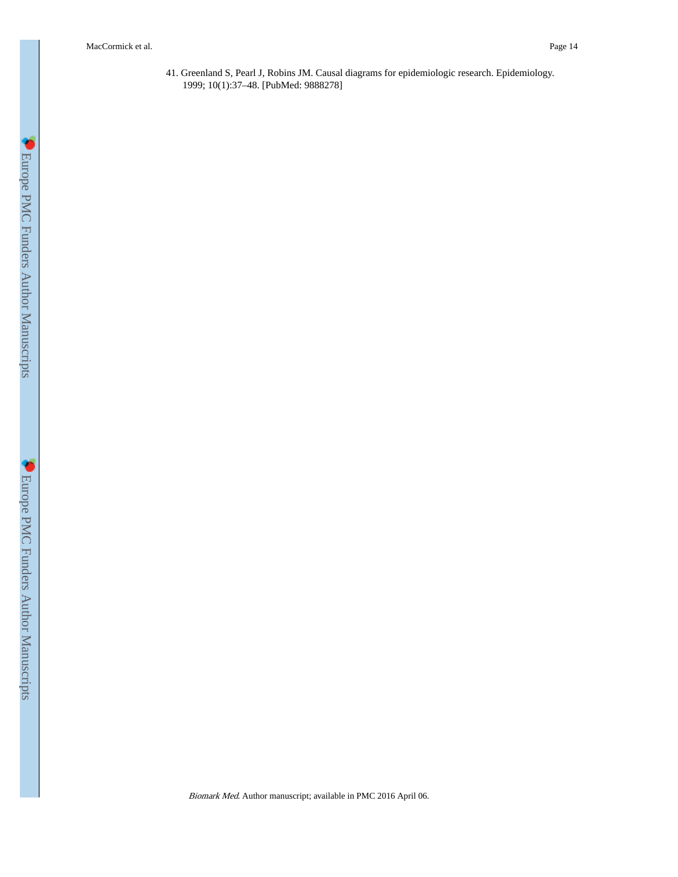41. Greenland S, Pearl J, Robins JM. Causal diagrams for epidemiologic research. Epidemiology. 1999; 10(1):37–48. [PubMed: 9888278]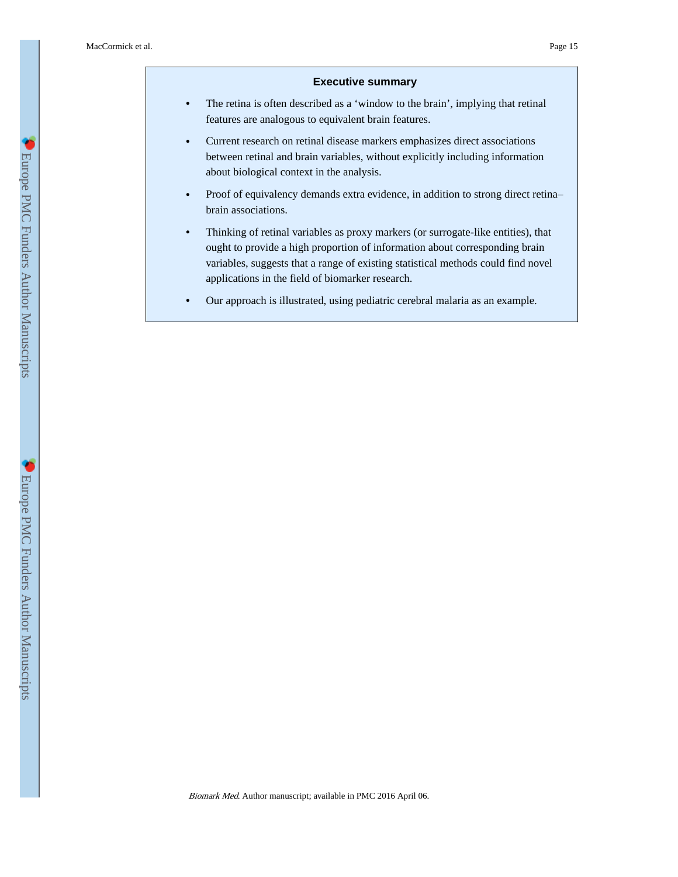#### **Executive summary**

- **•** The retina is often described as a 'window to the brain', implying that retinal features are analogous to equivalent brain features.
- **•** Current research on retinal disease markers emphasizes direct associations between retinal and brain variables, without explicitly including information about biological context in the analysis.
- **•** Proof of equivalency demands extra evidence, in addition to strong direct retina– brain associations.
- **•** Thinking of retinal variables as proxy markers (or surrogate-like entities), that ought to provide a high proportion of information about corresponding brain variables, suggests that a range of existing statistical methods could find novel applications in the field of biomarker research.
- **•** Our approach is illustrated, using pediatric cerebral malaria as an example.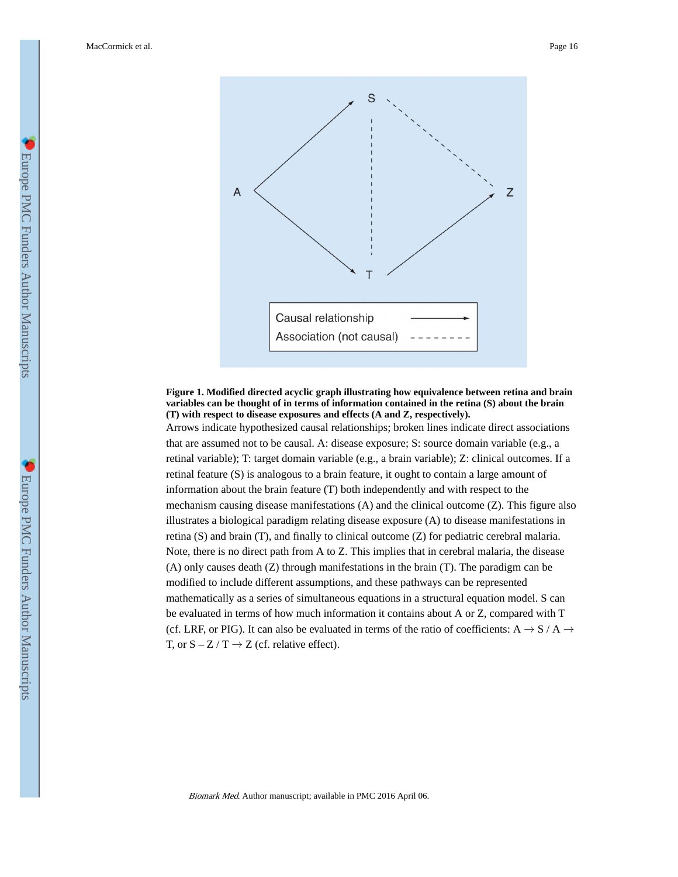

#### **Figure 1. Modified directed acyclic graph illustrating how equivalence between retina and brain variables can be thought of in terms of information contained in the retina (S) about the brain (T) with respect to disease exposures and effects (A and Z, respectively).**

Arrows indicate hypothesized causal relationships; broken lines indicate direct associations that are assumed not to be causal. A: disease exposure; S: source domain variable (e.g., a retinal variable); T: target domain variable (e.g., a brain variable); Z: clinical outcomes. If a retinal feature (S) is analogous to a brain feature, it ought to contain a large amount of information about the brain feature (T) both independently and with respect to the mechanism causing disease manifestations (A) and the clinical outcome (Z). This figure also illustrates a biological paradigm relating disease exposure (A) to disease manifestations in retina (S) and brain (T), and finally to clinical outcome (Z) for pediatric cerebral malaria. Note, there is no direct path from A to Z. This implies that in cerebral malaria, the disease (A) only causes death (Z) through manifestations in the brain (T). The paradigm can be modified to include different assumptions, and these pathways can be represented mathematically as a series of simultaneous equations in a structural equation model. S can be evaluated in terms of how much information it contains about A or Z, compared with T (cf. LRF, or PIG). It can also be evaluated in terms of the ratio of coefficients: A  $\rightarrow$  S / A  $\rightarrow$ T, or  $S - Z / T \rightarrow Z$  (cf. relative effect).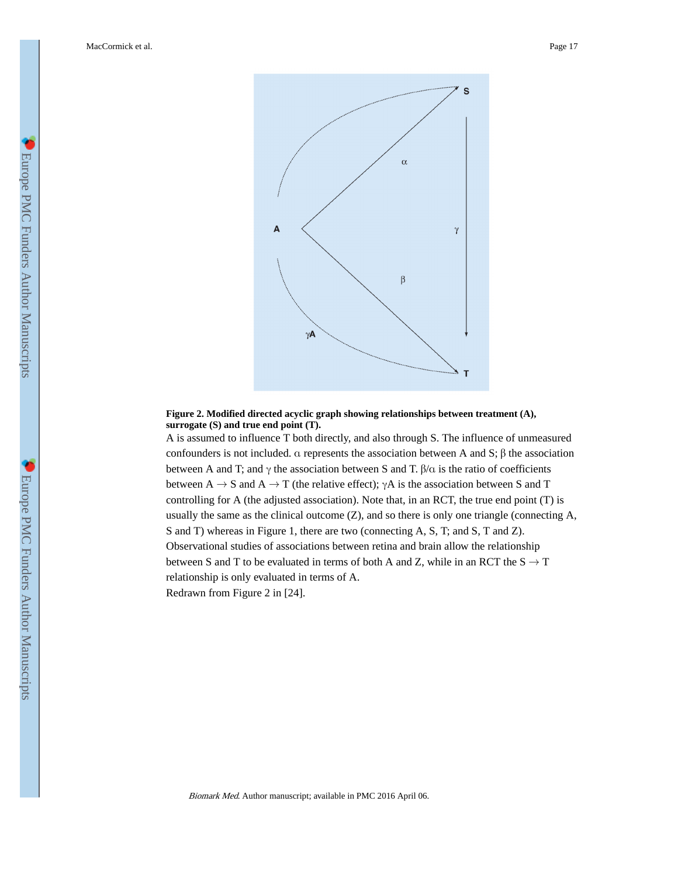

#### **Figure 2. Modified directed acyclic graph showing relationships between treatment (A), surrogate (S) and true end point (T).**

A is assumed to influence T both directly, and also through S. The influence of unmeasured confounders is not included.  $\alpha$  represents the association between A and S;  $\beta$  the association between A and T; and  $\gamma$  the association between S and T.  $\beta/\alpha$  is the ratio of coefficients between A  $\rightarrow$  S and A  $\rightarrow$  T (the relative effect);  $\gamma$ A is the association between S and T controlling for A (the adjusted association). Note that, in an RCT, the true end point (T) is usually the same as the clinical outcome (Z), and so there is only one triangle (connecting A, S and T) whereas in Figure 1, there are two (connecting A, S, T; and S, T and Z). Observational studies of associations between retina and brain allow the relationship between S and T to be evaluated in terms of both A and Z, while in an RCT the  $S \rightarrow T$ relationship is only evaluated in terms of A. Redrawn from Figure 2 in [24].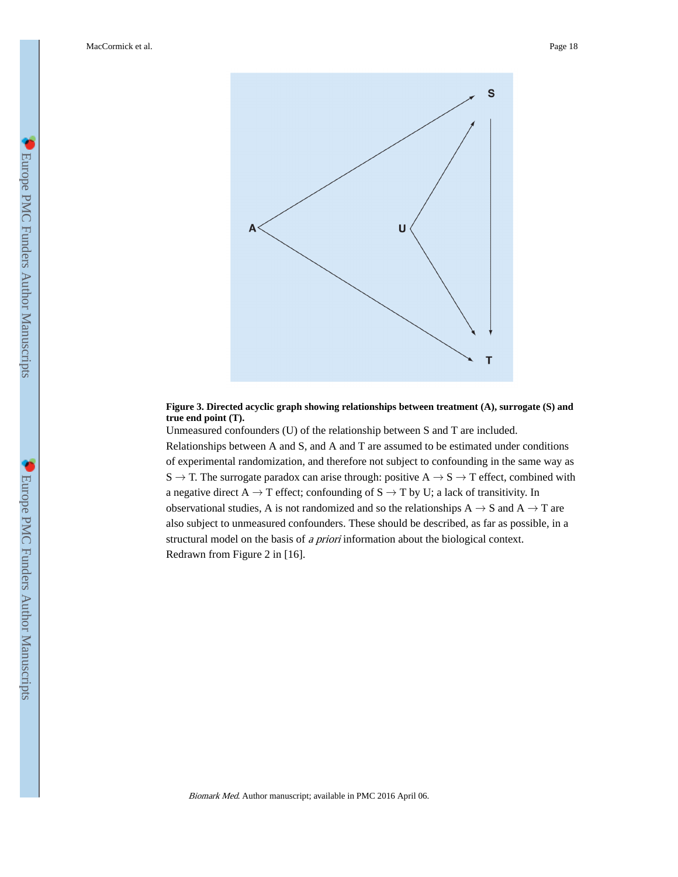

#### **Figure 3. Directed acyclic graph showing relationships between treatment (A), surrogate (S) and true end point (T).**

Unmeasured confounders (U) of the relationship between S and T are included. Relationships between A and S, and A and T are assumed to be estimated under conditions of experimental randomization, and therefore not subject to confounding in the same way as  $S \to T$ . The surrogate paradox can arise through: positive  $A \to S \to T$  effect, combined with a negative direct A  $\rightarrow$  T effect; confounding of S  $\rightarrow$  T by U; a lack of transitivity. In observational studies, A is not randomized and so the relationships  $A \rightarrow S$  and  $A \rightarrow T$  are also subject to unmeasured confounders. These should be described, as far as possible, in a structural model on the basis of a priori information about the biological context. Redrawn from Figure 2 in [16].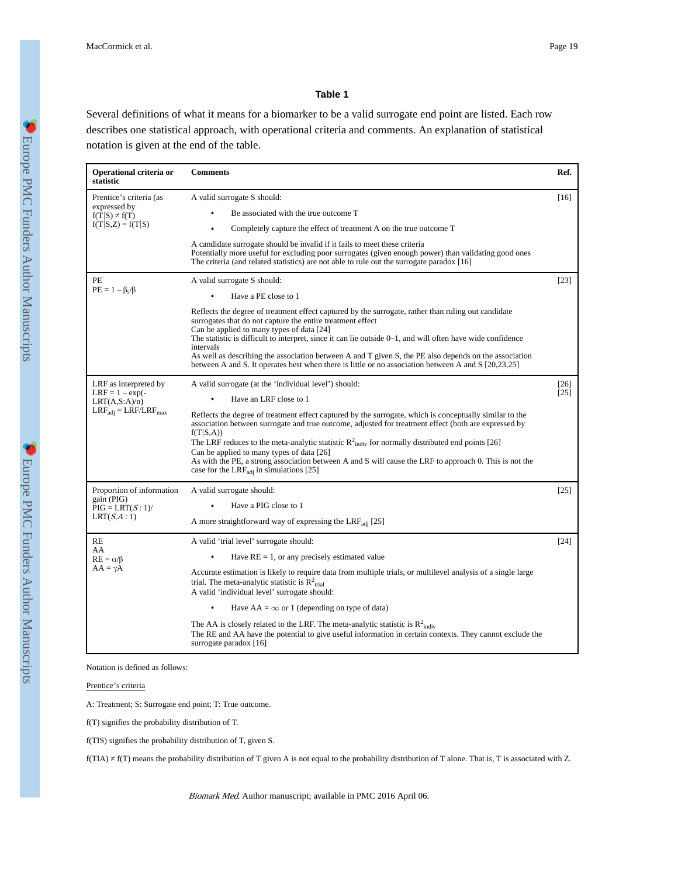#### **Table 1**

Several definitions of what it means for a biomarker to be a valid surrogate end point are listed. Each row describes one statistical approach, with operational criteria and comments. An explanation of statistical notation is given at the end of the table.

| Operational criteria or<br>statistic                                                                      | <b>Comments</b>                                                                                                                                                                                                                                                                                                                                                                                                                                                                                                                                                                                                                                 | Ref.         |
|-----------------------------------------------------------------------------------------------------------|-------------------------------------------------------------------------------------------------------------------------------------------------------------------------------------------------------------------------------------------------------------------------------------------------------------------------------------------------------------------------------------------------------------------------------------------------------------------------------------------------------------------------------------------------------------------------------------------------------------------------------------------------|--------------|
| Prentice's criteria (as<br>expressed by<br>$f(T S)$ $f(T)$<br>$f(T S,Z) = f(T S)$                         | A valid surrogate S should:<br>Be associated with the true outcome T<br>Completely capture the effect of treatment A on the true outcome T<br>A candidate surrogate should be invalid if it fails to meet these criteria<br>Potentially more useful for excluding poor surrogates (given enough power) than validating good ones<br>The criteria (and related statistics) are not able to rule out the surrogate paradox [16]                                                                                                                                                                                                                   | [16]         |
| <b>PE</b><br>$PE = 1 - \beta_s/\beta$                                                                     | A valid surrogate S should:<br>Have a PE close to 1<br>Reflects the degree of treatment effect captured by the surrogate, rather than ruling out candidate<br>surrogates that do not capture the entire treatment effect<br>Can be applied to many types of data [24]<br>The statistic is difficult to interpret, since it can lie outside 0–1, and will often have wide confidence<br>intervals<br>As well as describing the association between A and T given S, the PE also depends on the association<br>between A and S. It operates best when there is little or no association between A and S [20,23,25]                                | [23]         |
| LRF as interpreted by<br>$LRF = 1 - exp(-$<br>LRT(A, S:A)/n)<br>$LRF_{\text{adj}} = LRF/LRF_{\text{max}}$ | A valid surrogate (at the 'individual level') should:<br>Have an LRF close to 1<br>Reflects the degree of treatment effect captured by the surrogate, which is conceptually similar to the<br>association between surrogate and true outcome, adjusted for treatment effect (both are expressed by<br>f(T S,A))<br>The LRF reduces to the meta-analytic statistic $R^2$ <sub>indiv</sub> for normally distributed end points [26]<br>Can be applied to many types of data [26]<br>As with the PE, a strong association between A and S will cause the LRF to approach 0. This is not the<br>case for the LRF <sub>adi</sub> in simulations [25] | [26]<br>[25] |
| Proportion of information<br>gain (PIG)<br>$PIG = LRT(S: 1)$<br>LRT(S,A:1)                                | A valid surrogate should:<br>Have a PIG close to 1<br>A more straightforward way of expressing the LRF <sub>adi</sub> [25]                                                                                                                                                                                                                                                                                                                                                                                                                                                                                                                      | [25]         |
| RE<br>AA<br>$RE = \alpha/\beta$<br>$AA = \gamma A$                                                        | A valid 'trial level' surrogate should:<br>Have $RE = 1$ , or any precisely estimated value<br>Accurate estimation is likely to require data from multiple trials, or multilevel analysis of a single large<br>trial. The meta-analytic statistic is $R^2_{\text{trial}}$<br>A valid 'individual level' surrogate should:<br>Have AA = $\infty$ or 1 (depending on type of data)<br>The AA is closely related to the LRF. The meta-analytic statistic is $R^2_{indiv}$<br>The RE and AA have the potential to give useful information in certain contexts. They cannot exclude the<br>surrogate paradox [16]                                    | [24]         |

Notation is defined as follows:

Prentice's criteria

A: Treatment; S: Surrogate end point; T: True outcome.

f(T) signifies the probability distribution of T.

f(TIS) signifies the probability distribution of T, given S.

f(TIA) ≠ f(T) means the probability distribution of T given A is not equal to the probability distribution of T alone. That is, T is associated with Z.